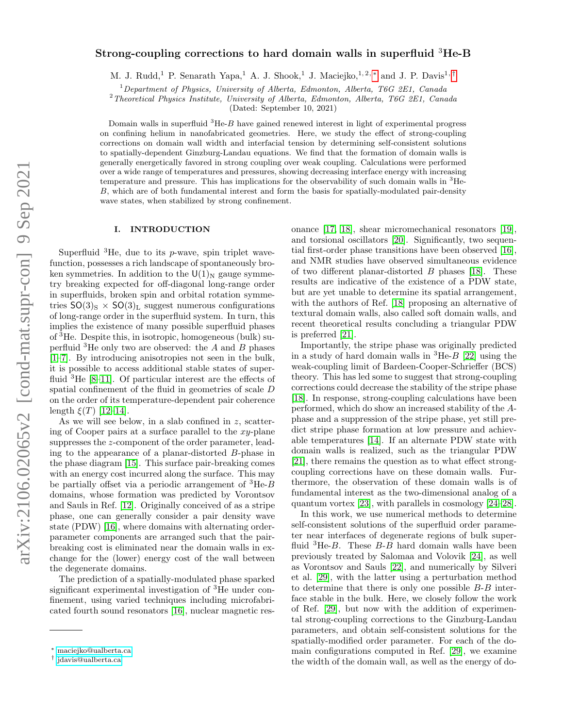# Strong-coupling corrections to hard domain walls in superfluid <sup>3</sup>He-B

M. J. Rudd,<sup>1</sup> P. Senarath Yapa,<sup>1</sup> A. J. Shook,<sup>1</sup> J. Maciejko,<sup>1,2,\*</sup> and J. P. Davis<sup>1,[†](#page-0-1)</sup>

<sup>1</sup>Department of Physics, University of Alberta, Edmonton, Alberta, T6G 2E1, Canada

<sup>2</sup>Theoretical Physics Institute, University of Alberta, Edmonton, Alberta, T6G 2E1, Canada

(Dated: September 10, 2021)

Domain walls in superfluid  ${}^{3}He-B$  have gained renewed interest in light of experimental progress on confining helium in nanofabricated geometries. Here, we study the effect of strong-coupling corrections on domain wall width and interfacial tension by determining self-consistent solutions to spatially-dependent Ginzburg-Landau equations. We find that the formation of domain walls is generally energetically favored in strong coupling over weak coupling. Calculations were performed over a wide range of temperatures and pressures, showing decreasing interface energy with increasing temperature and pressure. This has implications for the observability of such domain walls in  ${}^{3}$ He-B, which are of both fundamental interest and form the basis for spatially-modulated pair-density wave states, when stabilized by strong confinement.

## I. INTRODUCTION

Superfluid  ${}^{3}$ He, due to its p-wave, spin triplet wavefunction, possesses a rich landscape of spontaneously broken symmetries. In addition to the  $U(1)<sub>N</sub>$  gauge symmetry breaking expected for off-diagonal long-range order in superfluids, broken spin and orbital rotation symmetries  $SO(3)_{\rm S} \times SO(3)_{\rm L}$  suggest numerous configurations of long-range order in the superfluid system. In turn, this implies the existence of many possible superfluid phases of <sup>3</sup>He. Despite this, in isotropic, homogeneous (bulk) superfluid  ${}^{3}$ He only two are observed: the A and B phases [\[1–](#page-8-0)[7\]](#page-9-0). By introducing anisotropies not seen in the bulk, it is possible to access additional stable states of superfluid <sup>3</sup>He [\[8–](#page-9-1)[11\]](#page-9-2). Of particular interest are the effects of spatial confinement of the fluid in geometries of scale D on the order of its temperature-dependent pair coherence length  $\xi(T)$  [\[12](#page-9-3)[–14\]](#page-9-4).

As we will see below, in a slab confined in z, scattering of Cooper pairs at a surface parallel to the  $xy$ -plane suppresses the z-component of the order parameter, leading to the appearance of a planar-distorted B-phase in the phase diagram [\[15\]](#page-9-5). This surface pair-breaking comes with an energy cost incurred along the surface. This may be partially offset via a periodic arrangement of  ${}^{3}He-B$ domains, whose formation was predicted by Vorontsov and Sauls in Ref. [\[12\]](#page-9-3). Originally conceived of as a stripe phase, one can generally consider a pair density wave state (PDW) [\[16\]](#page-9-6), where domains with alternating orderparameter components are arranged such that the pairbreaking cost is eliminated near the domain walls in exchange for the (lower) energy cost of the wall between the degenerate domains.

The prediction of a spatially-modulated phase sparked significant experimental investigation of <sup>3</sup>He under confinement, using varied techniques including microfabricated fourth sound resonators [\[16\]](#page-9-6), nuclear magnetic resonance [\[17,](#page-9-7) [18\]](#page-9-8), shear micromechanical resonators [\[19\]](#page-9-9), and torsional oscillators [\[20\]](#page-9-10). Significantly, two sequential first-order phase transitions have been observed [\[16\]](#page-9-6), and NMR studies have observed simultaneous evidence of two different planar-distorted B phases [\[18\]](#page-9-8). These results are indicative of the existence of a PDW state, but are yet unable to determine its spatial arrangement, with the authors of Ref. [\[18\]](#page-9-8) proposing an alternative of textural domain walls, also called soft domain walls, and recent theoretical results concluding a triangular PDW is preferred [\[21\]](#page-9-11).

Importantly, the stripe phase was originally predicted in a study of hard domain walls in  ${}^{3}$ He- $B$  [\[22\]](#page-9-12) using the weak-coupling limit of Bardeen-Cooper-Schrieffer (BCS) theory. This has led some to suggest that strong-coupling corrections could decrease the stability of the stripe phase [\[18\]](#page-9-8). In response, strong-coupling calculations have been performed, which do show an increased stability of the Aphase and a suppression of the stripe phase, yet still predict stripe phase formation at low pressure and achievable temperatures [\[14\]](#page-9-4). If an alternate PDW state with domain walls is realized, such as the triangular PDW [\[21\]](#page-9-11), there remains the question as to what effect strongcoupling corrections have on these domain walls. Furthermore, the observation of these domain walls is of fundamental interest as the two-dimensional analog of a quantum vortex [\[23\]](#page-9-13), with parallels in cosmology [\[24–](#page-9-14)[28\]](#page-9-15).

In this work, we use numerical methods to determine self-consistent solutions of the superfluid order parameter near interfaces of degenerate regions of bulk superfluid  ${}^{3}$ He-*B*. These *B*-*B* hard domain walls have been previously treated by Salomaa and Volovik [\[24\]](#page-9-14), as well as Vorontsov and Sauls [\[22\]](#page-9-12), and numerically by Silveri et al. [\[29\]](#page-9-16), with the latter using a perturbation method to determine that there is only one possible B-B interface stable in the bulk. Here, we closely follow the work of Ref. [\[29\]](#page-9-16), but now with the addition of experimental strong-coupling corrections to the Ginzburg-Landau parameters, and obtain self-consistent solutions for the spatially-modified order parameter. For each of the domain configurations computed in Ref. [\[29\]](#page-9-16), we examine the width of the domain wall, as well as the energy of do-

<span id="page-0-0"></span><sup>∗</sup> [maciejko@ualberta.ca](mailto:maciejko@ualberta.ca)

<span id="page-0-1"></span><sup>†</sup> [jdavis@ualberta.ca](mailto:jdavis@ualberta.ca)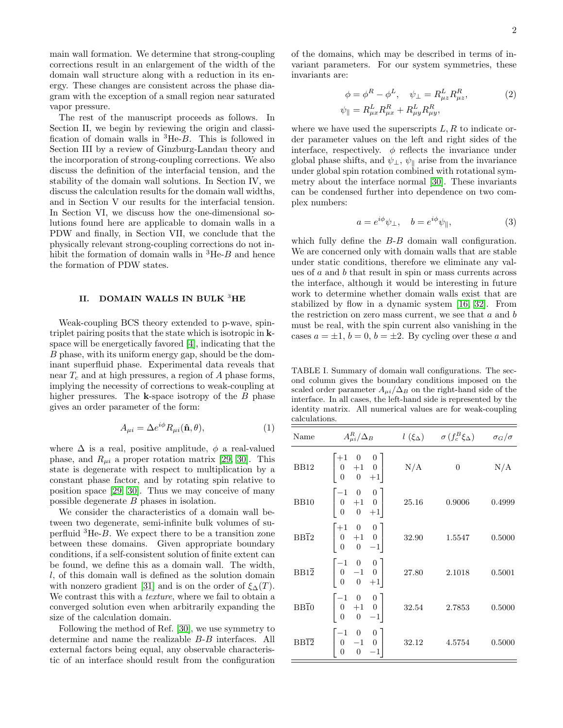main wall formation. We determine that strong-coupling corrections result in an enlargement of the width of the domain wall structure along with a reduction in its energy. These changes are consistent across the phase diagram with the exception of a small region near saturated vapor pressure.

The rest of the manuscript proceeds as follows. In Section II, we begin by reviewing the origin and classification of domain walls in  ${}^{3}He-B$ . This is followed in Section III by a review of Ginzburg-Landau theory and the incorporation of strong-coupling corrections. We also discuss the definition of the interfacial tension, and the stability of the domain wall solutions. In Section IV, we discuss the calculation results for the domain wall widths, and in Section V our results for the interfacial tension. In Section VI, we discuss how the one-dimensional solutions found here are applicable to domain walls in a PDW and finally, in Section VII, we conclude that the physically relevant strong-coupling corrections do not inhibit the formation of domain walls in  ${}^{3}$ He-B and hence the formation of PDW states.

#### II. DOMAIN WALLS IN BULK <sup>3</sup>HE

Weak-coupling BCS theory extended to p-wave, spintriplet pairing posits that the state which is isotropic in kspace will be energetically favored [\[4\]](#page-8-1), indicating that the B phase, with its uniform energy gap, should be the dominant superfluid phase. Experimental data reveals that near  $T_c$  and at high pressures, a region of A phase forms, implying the necessity of corrections to weak-coupling at higher pressures. The  $k$ -space isotropy of the  $B$  phase gives an order parameter of the form:

$$
A_{\mu i} = \Delta e^{i\phi} R_{\mu i}(\hat{\mathbf{n}}, \theta), \tag{1}
$$

where  $\Delta$  is a real, positive amplitude,  $\phi$  a real-valued phase, and  $R_{\mu i}$  a proper rotation matrix [\[29,](#page-9-16) [30\]](#page-9-17). This state is degenerate with respect to multiplication by a constant phase factor, and by rotating spin relative to position space [\[29,](#page-9-16) [30\]](#page-9-17). Thus we may conceive of many possible degenerate B phases in isolation.

We consider the characteristics of a domain wall between two degenerate, semi-infinite bulk volumes of superfluid  ${}^{3}$ He-B. We expect there to be a transition zone between these domains. Given appropriate boundary conditions, if a self-consistent solution of finite extent can be found, we define this as a domain wall. The width, l, of this domain wall is defined as the solution domain with nonzero gradient [\[31\]](#page-9-18) and is on the order of  $\xi_{\Delta}(T)$ . We contrast this with a *texture*, where we fail to obtain a converged solution even when arbitrarily expanding the size of the calculation domain.

Following the method of Ref. [\[30\]](#page-9-17), we use symmetry to determine and name the realizable B-B interfaces. All external factors being equal, any observable characteristic of an interface should result from the configuration of the domains, which may be described in terms of invariant parameters. For our system symmetries, these invariants are:

<span id="page-1-1"></span>
$$
\phi = \phi^R - \phi^L, \quad \psi_\perp = R_{\mu z}^L R_{\mu z}^R,\tag{2}
$$

$$
\psi_{\parallel} = R_{\mu x}^L R_{\mu x}^R + R_{\mu y}^L R_{\mu y}^R,
$$

where we have used the superscripts  $L, R$  to indicate order parameter values on the left and right sides of the interface, respectively.  $\phi$  reflects the invariance under global phase shifts, and  $\psi_{\perp}$ ,  $\psi_{\parallel}$  arise from the invariance under global spin rotation combined with rotational symmetry about the interface normal [\[30\]](#page-9-17). These invariants can be condensed further into dependence on two complex numbers:

<span id="page-1-2"></span>
$$
a = e^{i\phi}\psi_{\perp}, \quad b = e^{i\phi}\psi_{\parallel}, \tag{3}
$$

which fully define the  $B$ -B domain wall configuration. We are concerned only with domain walls that are stable under static conditions, therefore we eliminate any values of a and b that result in spin or mass currents across the interface, although it would be interesting in future work to determine whether domain walls exist that are stabilized by flow in a dynamic system [\[16,](#page-9-6) [32\]](#page-9-19). From the restriction on zero mass current, we see that  $a$  and  $b$ must be real, with the spin current also vanishing in the cases  $a = \pm 1$ ,  $b = 0$ ,  $b = \pm 2$ . By cycling over these a and

<span id="page-1-0"></span>TABLE I. Summary of domain wall configurations. The second column gives the boundary conditions imposed on the scaled order parameter  $A_{\mu i}/\Delta_B$  on the right-hand side of the interface. In all cases, the left-hand side is represented by the identity matrix. All numerical values are for weak-coupling calculations.

| Name              | $A_{\mu i}^R/\Delta_B$                                                                                         |       | $l(\xi_{\Delta})$ $\sigma(f_c^B \xi_{\Delta})$ $\sigma_G/\sigma$ |        |
|-------------------|----------------------------------------------------------------------------------------------------------------|-------|------------------------------------------------------------------|--------|
| BB12              | $\begin{vmatrix} +1 & 0 & 0 \\ 0 & +1 & 0 \\ 0 & 0 & +1 \end{vmatrix}$ N/A                                     |       | $\overline{0}$                                                   | N/A    |
| BB10              | $\begin{bmatrix} -1 & 0 & 0 \\ 0 & +1 & 0 \\ 0 & 0 & +1 \end{bmatrix}$ 25.16                                   |       | 0.9006                                                           | 0.4999 |
| $BB\overline{1}2$ | $\begin{bmatrix} +1 & 0 & 0 \\ 0 & +1 & 0 \\ 0 & 0 & -1 \end{bmatrix}$                                         | 32.90 | 1.5547                                                           | 0.5000 |
|                   | $\text{BB1}\overline{2}\qquad \begin{vmatrix} -1 & 0 & 0\\ 0 & -1 & 0\\ 0 & 0 & +1 \end{vmatrix} \qquad 27.80$ |       | 2.1018                                                           | 0.5001 |
| $BB\overline{1}0$ | $\begin{bmatrix} -1 & 0 & 0 \\ 0 & +1 & 0 \\ 0 & 0 & -1 \end{bmatrix}$                                         | 32.54 | 2.7853                                                           | 0.5000 |
| $BB\overline{12}$ | $\begin{bmatrix} -1 & 0 & 0 \\ 0 & -1 & 0 \\ 0 & 0 & -1 \end{bmatrix}$                                         | 32.12 | 4.5754                                                           | 0.5000 |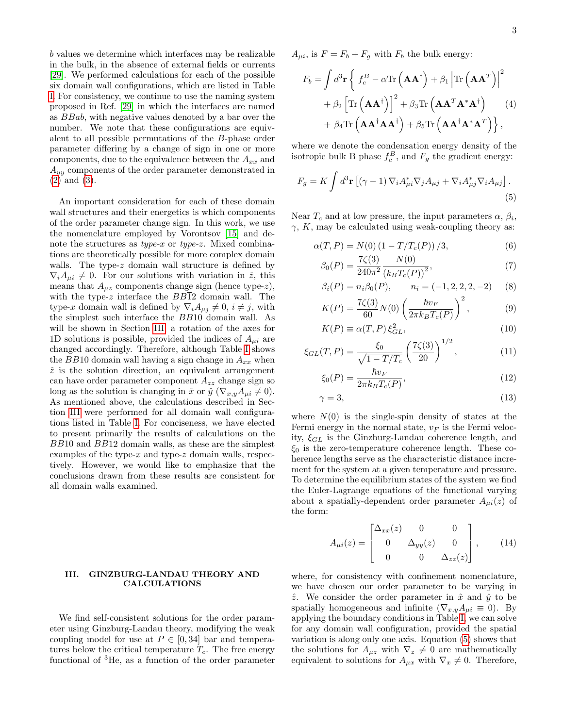b values we determine which interfaces may be realizable in the bulk, in the absence of external fields or currents [\[29\]](#page-9-16). We performed calculations for each of the possible six domain wall configurations, which are listed in Table [I.](#page-1-0) For consistency, we continue to use the naming system proposed in Ref. [\[29\]](#page-9-16) in which the interfaces are named as BBab, with negative values denoted by a bar over the number. We note that these configurations are equivalent to all possible permutations of the B-phase order parameter differing by a change of sign in one or more components, due to the equivalence between the  $A_{xx}$  and  $A_{yy}$  components of the order parameter demonstrated in [\(2\)](#page-1-1) and [\(3\)](#page-1-2).

An important consideration for each of these domain wall structures and their energetics is which components of the order parameter change sign. In this work, we use the nomenclature employed by Vorontsov [\[15\]](#page-9-5) and denote the structures as *type-x* or *type-z*. Mixed combinations are theoretically possible for more complex domain walls. The type-z domain wall structure is defined by  $\nabla_i A_{\mu i} \neq 0$ . For our solutions with variation in  $\hat{z}$ , this means that  $A_{\mu z}$  components change sign (hence type-z), with the type-z interface the  $BB\overline{1}2$  domain wall. The type-x domain wall is defined by  $\nabla_i A_{\mu j} \neq 0$ ,  $i \neq j$ , with the simplest such interface the BB10 domain wall. As will be shown in Section [III,](#page-2-0) a rotation of the axes for 1D solutions is possible, provided the indices of  $A_{\mu i}$  are changed accordingly. Therefore, although Table [I](#page-1-0) shows the BB10 domain wall having a sign change in  $A_{xx}$  when  $\hat{z}$  is the solution direction, an equivalent arrangement can have order parameter component  $A_{zz}$  change sign so long as the solution is changing in  $\hat{x}$  or  $\hat{y}$  ( $\nabla_{x,y}A_{\mu i}\neq 0$ ). As mentioned above, the calculations described in Section [III](#page-2-0) were performed for all domain wall configurations listed in Table [I.](#page-1-0) For conciseness, we have elected to present primarily the results of calculations on the  $BB10$  and  $BB\overline{1}2$  domain walls, as these are the simplest examples of the type- $x$  and type- $z$  domain walls, respectively. However, we would like to emphasize that the conclusions drawn from these results are consistent for all domain walls examined.

#### <span id="page-2-0"></span>III. GINZBURG-LANDAU THEORY AND CALCULATIONS

We find self-consistent solutions for the order parameter using Ginzburg-Landau theory, modifying the weak coupling model for use at  $P \in [0, 34]$  bar and temperatures below the critical temperature  $T_c$ . The free energy functional of <sup>3</sup>He, as a function of the order parameter  $A_{\mu i}$ , is  $F = F_b + F_g$  with  $F_b$  the bulk energy:

<span id="page-2-4"></span>
$$
F_b = \int d^3 \mathbf{r} \left\{ f_c^B - \alpha \text{Tr} \left( \mathbf{A} \mathbf{A}^\dagger \right) + \beta_1 \left| \text{Tr} \left( \mathbf{A} \mathbf{A}^T \right) \right|^2 + \beta_2 \left[ \text{Tr} \left( \mathbf{A} \mathbf{A}^\dagger \right) \right]^2 + \beta_3 \text{Tr} \left( \mathbf{A} \mathbf{A}^T \mathbf{A}^* \mathbf{A}^\dagger \right) + \beta_4 \text{Tr} \left( \mathbf{A} \mathbf{A}^\dagger \mathbf{A} \mathbf{A}^\dagger \right) + \beta_5 \text{Tr} \left( \mathbf{A} \mathbf{A}^\dagger \mathbf{A}^* \mathbf{A}^T \right) \},
$$
 (4)

where we denote the condensation energy density of the isotropic bulk B phase  $f_c^B$ , and  $F_g$  the gradient energy:

$$
F_g = K \int d^3 \mathbf{r} \left[ (\gamma - 1) \nabla_i A_{\mu i}^* \nabla_j A_{\mu j} + \nabla_i A_{\mu j}^* \nabla_i A_{\mu j} \right]. \tag{5}
$$

Near  $T_c$  and at low pressure, the input parameters  $\alpha$ ,  $\beta_i$ ,  $\gamma$ , K, may be calculated using weak-coupling theory as:

$$
\alpha(T, P) = N(0) \left(1 - T/T_c(P)\right) / 3,
$$
\n(6)\n  
\n(7)\n  
\n(8)\n  
\n(9)\n  
\n(1)

<span id="page-2-1"></span>
$$
\beta_0(P) = \frac{7\zeta(3)}{240\pi^2} \frac{N(0)}{(k_B T_c(P))^2},\tag{7}
$$

$$
\beta_i(P) = n_i \beta_0(P), \qquad n_i = (-1, 2, 2, 2, -2) \tag{8}
$$

<span id="page-2-2"></span>
$$
K(P) = \frac{7\zeta(3)}{60} N(0) \left(\frac{\hbar v_F}{2\pi k_B T_c(P)}\right)^2, \tag{9}
$$

$$
K(P) \equiv \alpha(T, P) \xi_{GL}^2,\tag{10}
$$

$$
\xi_{GL}(T, P) = \frac{\xi_0}{\sqrt{1 - T/T_c}} \left(\frac{7\zeta(3)}{20}\right)^{1/2},\tag{11}
$$

<span id="page-2-3"></span>
$$
\xi_0(P) = \frac{\hbar v_F}{2\pi k_B T_c(P)},\tag{12}
$$

$$
\gamma = 3,\tag{13}
$$

where  $N(0)$  is the single-spin density of states at the Fermi energy in the normal state,  $v_F$  is the Fermi velocity,  $\xi_{GL}$  is the Ginzburg-Landau coherence length, and  $\xi_0$  is the zero-temperature coherence length. These coherence lengths serve as the characteristic distance increment for the system at a given temperature and pressure. To determine the equilibrium states of the system we find the Euler-Lagrange equations of the functional varying about a spatially-dependent order parameter  $A_{\mu i}(z)$  of the form:

$$
A_{\mu i}(z) = \begin{bmatrix} \Delta_{xx}(z) & 0 & 0 \\ 0 & \Delta_{yy}(z) & 0 \\ 0 & 0 & \Delta_{zz}(z) \end{bmatrix}, \qquad (14)
$$

where, for consistency with confinement nomenclature, we have chosen our order parameter to be varying in  $\hat{z}$ . We consider the order parameter in  $\hat{x}$  and  $\hat{y}$  to be spatially homogeneous and infinite ( $\nabla_{x,y}A_{\mu i} \equiv 0$ ). By applying the boundary conditions in Table [I,](#page-1-0) we can solve for any domain wall configuration, provided the spatial variation is along only one axis. Equation [\(5\)](#page-2-1) shows that the solutions for  $A_{\mu z}$  with  $\nabla_z \neq 0$  are mathematically equivalent to solutions for  $A_{\mu x}$  with  $\nabla_x \neq 0$ . Therefore,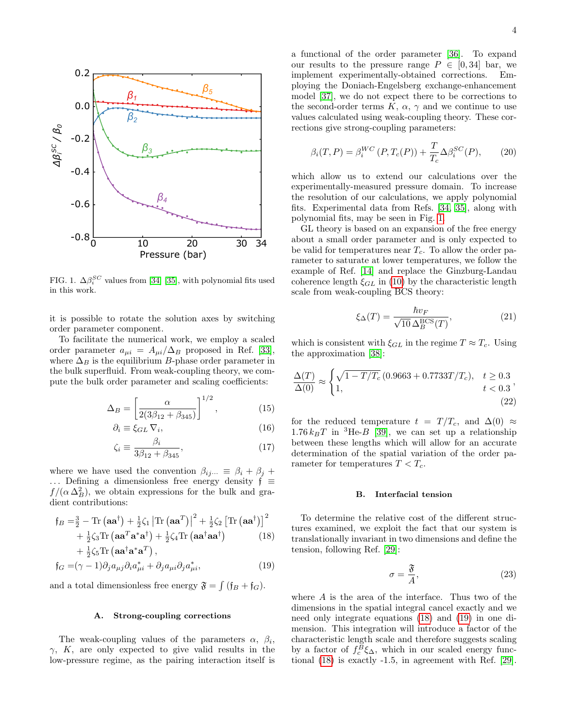

<span id="page-3-0"></span>FIG. 1.  $\Delta \beta_i^{SC}$  values from [\[34\]](#page-9-20) [\[35\]](#page-9-21), with polynomial fits used in this work.

it is possible to rotate the solution axes by switching order parameter component.

To facilitate the numerical work, we employ a scaled order parameter  $a_{\mu i} = A_{\mu i}/\Delta_B$  proposed in Ref. [\[33\]](#page-9-22), where  $\Delta_B$  is the equilibrium B-phase order parameter in the bulk superfluid. From weak-coupling theory, we compute the bulk order parameter and scaling coefficients:

$$
\Delta_B = \left[ \frac{\alpha}{2(3\beta_{12} + \beta_{345})} \right]^{1/2},\tag{15}
$$

$$
\partial_i \equiv \xi_{GL} \, \nabla_i,\tag{16}
$$

$$
\zeta_i \equiv \frac{\beta_i}{3\beta_{12} + \beta_{345}},\tag{17}
$$

where we have used the convention  $\beta_{ij\cdots} \equiv \beta_i + \beta_j + \beta_j$ ... Defining a dimensionless free energy density  $f$  ≡  $f/(\alpha \Delta_B^2)$ , we obtain expressions for the bulk and gradient contributions:

$$
f_B = \frac{3}{2} - \text{Tr} \left( \mathbf{a} \mathbf{a}^\dagger \right) + \frac{1}{2} \zeta_1 \left| \text{Tr} \left( \mathbf{a} \mathbf{a}^T \right) \right|^2 + \frac{1}{2} \zeta_2 \left[ \text{Tr} \left( \mathbf{a} \mathbf{a}^\dagger \right) \right]^2
$$
  
+ 
$$
\frac{1}{2} \zeta_3 \text{Tr} \left( \mathbf{a} \mathbf{a}^T \mathbf{a}^* \mathbf{a}^\dagger \right) + \frac{1}{2} \zeta_4 \text{Tr} \left( \mathbf{a} \mathbf{a}^\dagger \mathbf{a} \mathbf{a}^\dagger \right)
$$
(18)  
+ 
$$
\frac{1}{2} \zeta_5 \text{Tr} \left( \mathbf{a} \mathbf{a}^\dagger \mathbf{a}^* \mathbf{a}^T \right),
$$

$$
\mathfrak{f}_G = (\gamma - 1)\partial_j a_{\mu j} \partial_i a_{\mu i}^* + \partial_j a_{\mu i} \partial_j a_{\mu i}^*,\tag{19}
$$

and a total dimensionless free energy  $\mathfrak{F} = \int (\mathfrak{f}_B + \mathfrak{f}_G).$ 

#### A. Strong-coupling corrections

The weak-coupling values of the parameters  $\alpha$ ,  $\beta_i$ ,  $\gamma$ , K, are only expected to give valid results in the low-pressure regime, as the pairing interaction itself is a functional of the order parameter [\[36\]](#page-9-23). To expand our results to the pressure range  $P \in [0, 34]$  bar, we implement experimentally-obtained corrections. Employing the Doniach-Engelsberg exchange-enhancement model [\[37\]](#page-9-24), we do not expect there to be corrections to the second-order terms  $K, \alpha, \gamma$  and we continue to use values calculated using weak-coupling theory. These corrections give strong-coupling parameters:

<span id="page-3-4"></span>
$$
\beta_i(T, P) = \beta_i^{WC}(P, T_c(P)) + \frac{T}{T_c} \Delta \beta_i^{SC}(P), \qquad (20)
$$

which allow us to extend our calculations over the experimentally-measured pressure domain. To increase the resolution of our calculations, we apply polynomial fits. Experimental data from Refs. [\[34,](#page-9-20) [35\]](#page-9-21), along with polynomial fits, may be seen in Fig. [1.](#page-3-0)

GL theory is based on an expansion of the free energy about a small order parameter and is only expected to be valid for temperatures near  $T_c$ . To allow the order parameter to saturate at lower temperatures, we follow the example of Ref. [\[14\]](#page-9-4) and replace the Ginzburg-Landau coherence length  $\xi_{GL}$  in [\(10\)](#page-2-2) by the characteristic length scale from weak-coupling BCS theory:

$$
\xi_{\Delta}(T) = \frac{\hbar v_F}{\sqrt{10} \Delta_B^{\rm BCS}(T)},\tag{21}
$$

which is consistent with  $\xi_{GL}$  in the regime  $T \approx T_c$ . Using the approximation [\[38\]](#page-9-25):

$$
\frac{\Delta(T)}{\Delta(0)} \approx \begin{cases} \sqrt{1 - T/T_c} \left( 0.9663 + 0.7733T/T_c \right), & t \ge 0.3\\ 1, & t < 0.3 \end{cases}, \tag{22}
$$

for the reduced temperature  $t = T/T_c$ , and  $\Delta(0) \approx$  $1.76 k_BT$  in <sup>3</sup>He-*B* [\[39\]](#page-9-26), we can set up a relationship between these lengths which will allow for an accurate determination of the spatial variation of the order parameter for temperatures  $T < T_c$ .

#### B. Interfacial tension

<span id="page-3-1"></span>To determine the relative cost of the different structures examined, we exploit the fact that our system is translationally invariant in two dimensions and define the tension, following Ref. [\[29\]](#page-9-16):

<span id="page-3-3"></span>
$$
\sigma = \frac{\mathfrak{F}}{A},\tag{23}
$$

<span id="page-3-2"></span>where A is the area of the interface. Thus two of the dimensions in the spatial integral cancel exactly and we need only integrate equations [\(18\)](#page-3-1) and [\(19\)](#page-3-2) in one dimension. This integration will introduce a factor of the characteristic length scale and therefore suggests scaling by a factor of  $f_c^B \xi_\Delta$ , which in our scaled energy functional [\(18\)](#page-3-1) is exactly -1.5, in agreement with Ref. [\[29\]](#page-9-16).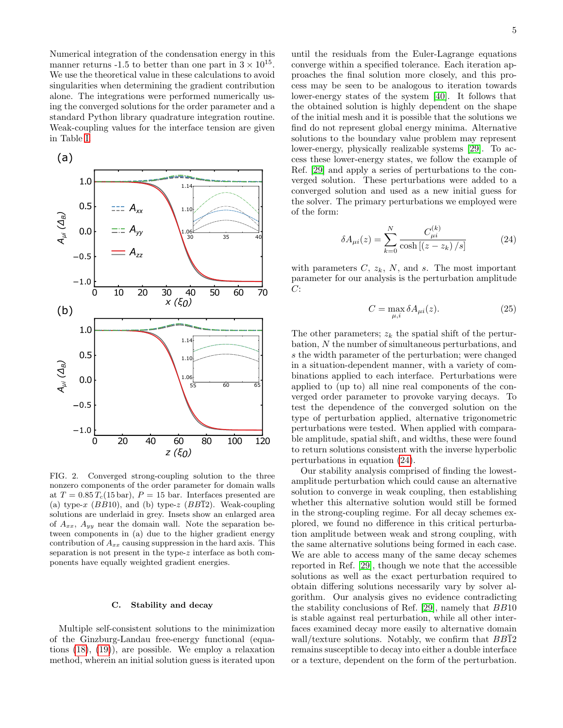Numerical integration of the condensation energy in this manner returns -1.5 to better than one part in  $3 \times 10^{15}$ . We use the theoretical value in these calculations to avoid singularities when determining the gradient contribution alone. The integrations were performed numerically using the converged solutions for the order parameter and a standard Python library quadrature integration routine. Weak-coupling values for the interface tension are given in Table [I.](#page-1-0)



<span id="page-4-1"></span>FIG. 2. Converged strong-coupling solution to the three nonzero components of the order parameter for domain walls at  $T = 0.85 T_c (15 \text{ bar})$ ,  $P = 15 \text{ bar}$ . Interfaces presented are (a) type-x (BB10), and (b) type-z (BB12). Weak-coupling solutions are underlaid in grey. Insets show an enlarged area of  $A_{xx}$ ,  $A_{yy}$  near the domain wall. Note the separation between components in (a) due to the higher gradient energy contribution of  $A_{xx}$  causing suppression in the hard axis. This separation is not present in the type-z interface as both components have equally weighted gradient energies.

# C. Stability and decay

Multiple self-consistent solutions to the minimization of the Ginzburg-Landau free-energy functional (equations [\(18\)](#page-3-1), [\(19\)](#page-3-2)), are possible. We employ a relaxation method, wherein an initial solution guess is iterated upon until the residuals from the Euler-Lagrange equations converge within a specified tolerance. Each iteration approaches the final solution more closely, and this process may be seen to be analogous to iteration towards lower-energy states of the system [\[40\]](#page-9-27). It follows that the obtained solution is highly dependent on the shape of the initial mesh and it is possible that the solutions we find do not represent global energy minima. Alternative solutions to the boundary value problem may represent lower-energy, physically realizable systems [\[29\]](#page-9-16). To access these lower-energy states, we follow the example of Ref. [\[29\]](#page-9-16) and apply a series of perturbations to the converged solution. These perturbations were added to a converged solution and used as a new initial guess for the solver. The primary perturbations we employed were of the form:

$$
\delta A_{\mu i}(z) = \sum_{k=0}^{N} \frac{C_{\mu i}^{(k)}}{\cosh\left[ (z - z_k) / s \right]}
$$
(24)

with parameters  $C, z_k, N$ , and s. The most important parameter for our analysis is the perturbation amplitude  $C$ :

<span id="page-4-0"></span>
$$
C = \max_{\mu,i} \delta A_{\mu i}(z). \tag{25}
$$

The other parameters;  $z_k$  the spatial shift of the perturbation, N the number of simultaneous perturbations, and s the width parameter of the perturbation; were changed in a situation-dependent manner, with a variety of combinations applied to each interface. Perturbations were applied to (up to) all nine real components of the converged order parameter to provoke varying decays. To test the dependence of the converged solution on the type of perturbation applied, alternative trigonometric perturbations were tested. When applied with comparable amplitude, spatial shift, and widths, these were found to return solutions consistent with the inverse hyperbolic perturbations in equation [\(24\)](#page-4-0).

Our stability analysis comprised of finding the lowestamplitude perturbation which could cause an alternative solution to converge in weak coupling, then establishing whether this alternative solution would still be formed in the strong-coupling regime. For all decay schemes explored, we found no difference in this critical perturbation amplitude between weak and strong coupling, with the same alternative solutions being formed in each case. We are able to access many of the same decay schemes reported in Ref. [\[29\]](#page-9-16), though we note that the accessible solutions as well as the exact perturbation required to obtain differing solutions necessarily vary by solver algorithm. Our analysis gives no evidence contradicting the stability conclusions of Ref. [\[29\]](#page-9-16), namely that BB10 is stable against real perturbation, while all other interfaces examined decay more easily to alternative domain wall/texture solutions. Notably, we confirm that  $BB\overline{1}2$ remains susceptible to decay into either a double interface or a texture, dependent on the form of the perturbation.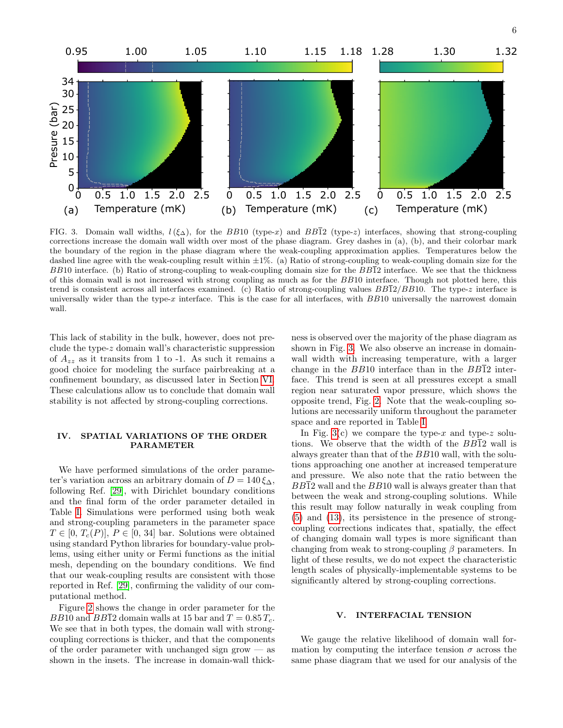6



<span id="page-5-0"></span>FIG. 3. Domain wall widths,  $l(\xi_{\Delta})$ , for the BB10 (type-x) and BB12 (type-z) interfaces, showing that strong-coupling corrections increase the domain wall width over most of the phase diagram. Grey dashes in (a), (b), and their colorbar mark the boundary of the region in the phase diagram where the weak-coupling approximation applies. Temperatures below the dashed line agree with the weak-coupling result within  $\pm 1\%$ . (a) Ratio of strong-coupling to weak-coupling domain size for the  $BB10$  interface. (b) Ratio of strong-coupling to weak-coupling domain size for the  $BB\overline{1}2$  interface. We see that the thickness of this domain wall is not increased with strong coupling as much as for the BB10 interface. Though not plotted here, this trend is consistent across all interfaces examined. (c) Ratio of strong-coupling values  $BB\overline{12}/BB10$ . The type-z interface is universally wider than the type- $x$  interface. This is the case for all interfaces, with  $BB10$  universally the narrowest domain wall.

This lack of stability in the bulk, however, does not preclude the type-z domain wall's characteristic suppression of  $A_{zz}$  as it transits from 1 to -1. As such it remains a good choice for modeling the surface pairbreaking at a confinement boundary, as discussed later in Section [VI.](#page-7-0) These calculations allow us to conclude that domain wall stability is not affected by strong-coupling corrections.

### <span id="page-5-1"></span>IV. SPATIAL VARIATIONS OF THE ORDER PARAMETER

We have performed simulations of the order parameter's variation across an arbitrary domain of  $D = 140 \xi_{\Delta}$ , following Ref. [\[29\]](#page-9-16), with Dirichlet boundary conditions and the final form of the order parameter detailed in Table [I.](#page-1-0) Simulations were performed using both weak and strong-coupling parameters in the parameter space  $T \in [0, T_c(P)], P \in [0, 34]$  bar. Solutions were obtained using standard Python libraries for boundary-value problems, using either unity or Fermi functions as the initial mesh, depending on the boundary conditions. We find that our weak-coupling results are consistent with those reported in Ref. [\[29\]](#page-9-16), confirming the validity of our computational method.

Figure [2](#page-4-1) shows the change in order parameter for the BB10 and BB12 domain walls at 15 bar and  $T = 0.85 T_c$ . We see that in both types, the domain wall with strongcoupling corrections is thicker, and that the components of the order parameter with unchanged sign grow  $-\infty$ shown in the insets. The increase in domain-wall thickness is observed over the majority of the phase diagram as shown in Fig. [3.](#page-5-0) We also observe an increase in domainwall width with increasing temperature, with a larger change in the  $BB10$  interface than in the  $BB\overline{1}2$  interface. This trend is seen at all pressures except a small region near saturated vapor pressure, which shows the opposite trend, Fig. [2.](#page-4-1) Note that the weak-coupling solutions are necessarily uniform throughout the parameter space and are reported in Table [I.](#page-1-0)

In Fig. [3\(](#page-5-0)c) we compare the type-x and type-z solutions. We observe that the width of the  $BB\overline{1}2$  wall is always greater than that of the BB10 wall, with the solutions approaching one another at increased temperature and pressure. We also note that the ratio between the  $BB\overline{1}2$  wall and the  $BB10$  wall is always greater than that between the weak and strong-coupling solutions. While this result may follow naturally in weak coupling from [\(5\)](#page-2-1) and [\(13\)](#page-2-3), its persistence in the presence of strongcoupling corrections indicates that, spatially, the effect of changing domain wall types is more significant than changing from weak to strong-coupling  $\beta$  parameters. In light of these results, we do not expect the characteristic length scales of physically-implementable systems to be significantly altered by strong-coupling corrections.

### <span id="page-5-2"></span>V. INTERFACIAL TENSION

We gauge the relative likelihood of domain wall formation by computing the interface tension  $\sigma$  across the same phase diagram that we used for our analysis of the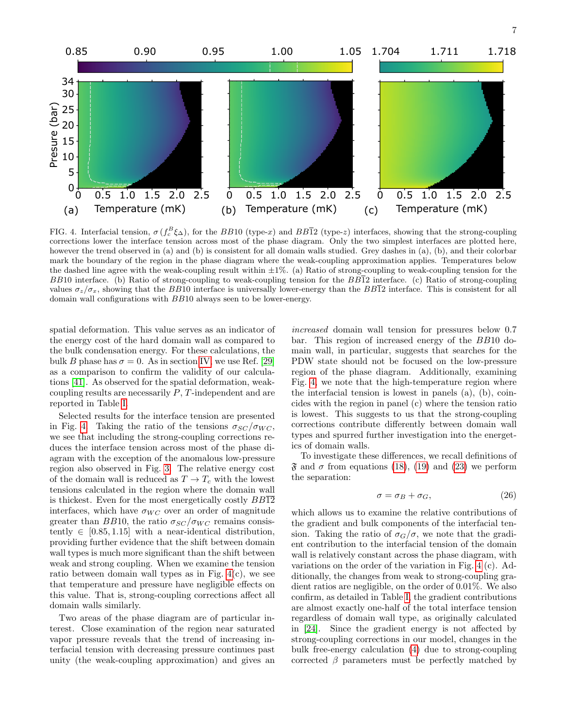

<span id="page-6-0"></span>FIG. 4. Interfacial tension,  $\sigma(f_c^B \xi_\Delta)$ , for the BB10 (type-x) and BB12 (type-z) interfaces, showing that the strong-coupling corrections lower the interface tension across most of the phase diagram. Only the two simplest interfaces are plotted here, however the trend observed in (a) and (b) is consistent for all domain walls studied. Grey dashes in (a), (b), and their colorbar mark the boundary of the region in the phase diagram where the weak-coupling approximation applies. Temperatures below the dashed line agree with the weak-coupling result within  $\pm 1\%$ . (a) Ratio of strong-coupling to weak-coupling tension for the  $BB10$  interface. (b) Ratio of strong-coupling to weak-coupling tension for the  $BB\overline{12}$  interface. (c) Ratio of strong-coupling values  $\sigma_z/\sigma_x$ , showing that the BB10 interface is universally lower-energy than the BB12 interface. This is consistent for all domain wall configurations with BB10 always seen to be lower-energy.

spatial deformation. This value serves as an indicator of the energy cost of the hard domain wall as compared to the bulk condensation energy. For these calculations, the bulk B phase has  $\sigma = 0$ . As in section [IV,](#page-5-1) we use Ref. [\[29\]](#page-9-16) as a comparison to confirm the validity of our calculations [\[41\]](#page-9-28). As observed for the spatial deformation, weakcoupling results are necessarily P, T-independent and are reported in Table [I.](#page-1-0)

Selected results for the interface tension are presented in Fig. [4.](#page-6-0) Taking the ratio of the tensions  $\sigma_{SC}/\sigma_{WC}$ , we see that including the strong-coupling corrections reduces the interface tension across most of the phase diagram with the exception of the anomalous low-pressure region also observed in Fig. [3.](#page-5-0) The relative energy cost of the domain wall is reduced as  $T \to T_c$  with the lowest tensions calculated in the region where the domain wall is thickest. Even for the most energetically costly  $BB\overline{12}$ interfaces, which have  $\sigma_{WC}$  over an order of magnitude greater than BB10, the ratio  $\sigma_{SC}/\sigma_{WC}$  remains consistently  $\in [0.85, 1.15]$  with a near-identical distribution, providing further evidence that the shift between domain wall types is much more significant than the shift between weak and strong coupling. When we examine the tension ratio between domain wall types as in Fig. [4\(](#page-6-0)c), we see that temperature and pressure have negligible effects on this value. That is, strong-coupling corrections affect all domain walls similarly.

Two areas of the phase diagram are of particular interest. Close examination of the region near saturated vapor pressure reveals that the trend of increasing interfacial tension with decreasing pressure continues past unity (the weak-coupling approximation) and gives an

increased domain wall tension for pressures below 0.7 bar. This region of increased energy of the BB10 domain wall, in particular, suggests that searches for the PDW state should not be focused on the low-pressure region of the phase diagram. Additionally, examining Fig. [4,](#page-6-0) we note that the high-temperature region where the interfacial tension is lowest in panels (a), (b), coincides with the region in panel (c) where the tension ratio is lowest. This suggests to us that the strong-coupling corrections contribute differently between domain wall types and spurred further investigation into the energetics of domain walls.

To investigate these differences, we recall definitions of  $\mathfrak{F}$  and  $\sigma$  from equations [\(18\)](#page-3-1), [\(19\)](#page-3-2) and [\(23\)](#page-3-3) we perform the separation:

$$
\sigma = \sigma_B + \sigma_G,\tag{26}
$$

which allows us to examine the relative contributions of the gradient and bulk components of the interfacial tension. Taking the ratio of  $\sigma_G/\sigma$ , we note that the gradient contribution to the interfacial tension of the domain wall is relatively constant across the phase diagram, with variations on the order of the variation in Fig. [4](#page-6-0) (c). Additionally, the changes from weak to strong-coupling gradient ratios are negligible, on the order of 0.01%. We also confirm, as detailed in Table [I,](#page-1-0) the gradient contributions are almost exactly one-half of the total interface tension regardless of domain wall type, as originally calculated in [\[24\]](#page-9-14). Since the gradient energy is not affected by strong-coupling corrections in our model, changes in the bulk free-energy calculation [\(4\)](#page-2-4) due to strong-coupling corrected  $\beta$  parameters must be perfectly matched by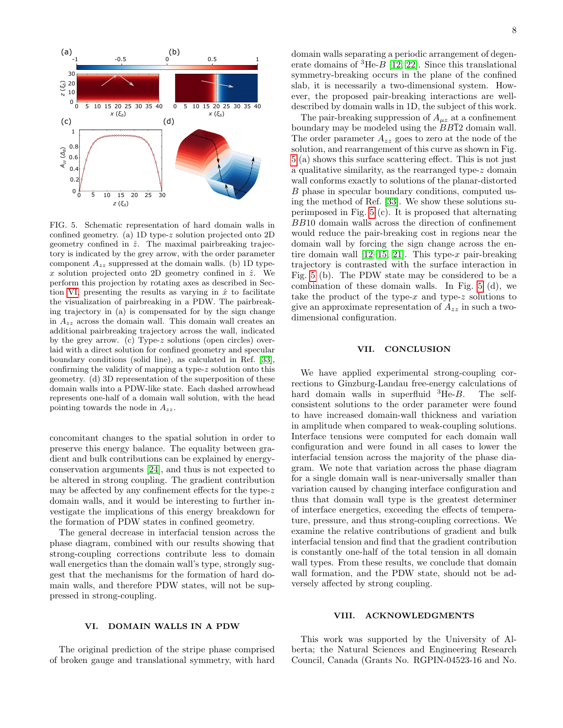

<span id="page-7-1"></span>FIG. 5. Schematic representation of hard domain walls in confined geometry. (a) 1D type-z solution projected onto 2D geometry confined in  $\hat{z}$ . The maximal pairbreaking trajectory is indicated by the grey arrow, with the order parameter component  $A_{zz}$  suppressed at the domain walls. (b) 1D typex solution projected onto 2D geometry confined in  $\hat{z}$ . We perform this projection by rotating axes as described in Sec-tion [VI,](#page-7-0) presenting the results as varying in  $\hat{x}$  to facilitate the visualization of pairbreaking in a PDW. The pairbreaking trajectory in (a) is compensated for by the sign change in  $A_{zz}$  across the domain wall. This domain wall creates an additional pairbreaking trajectory across the wall, indicated by the grey arrow. (c) Type-z solutions (open circles) overlaid with a direct solution for confined geometry and specular boundary conditions (solid line), as calculated in Ref. [\[33\]](#page-9-22), confirming the validity of mapping a type-z solution onto this geometry. (d) 3D representation of the superposition of these domain walls into a PDW-like state. Each dashed arrowhead represents one-half of a domain wall solution, with the head pointing towards the node in  $A_{zz}$ .

concomitant changes to the spatial solution in order to preserve this energy balance. The equality between gradient and bulk contributions can be explained by energyconservation arguments [\[24\]](#page-9-14), and thus is not expected to be altered in strong coupling. The gradient contribution may be affected by any confinement effects for the type- $z$ domain walls, and it would be interesting to further investigate the implications of this energy breakdown for the formation of PDW states in confined geometry.

The general decrease in interfacial tension across the phase diagram, combined with our results showing that strong-coupling corrections contribute less to domain wall energetics than the domain wall's type, strongly suggest that the mechanisms for the formation of hard domain walls, and therefore PDW states, will not be suppressed in strong-coupling.

# 8

domain walls separating a periodic arrangement of degenerate domains of  ${}^{3}$ He- $B$  [\[12,](#page-9-3) [22\]](#page-9-12). Since this translational symmetry-breaking occurs in the plane of the confined slab, it is necessarily a two-dimensional system. However, the proposed pair-breaking interactions are welldescribed by domain walls in 1D, the subject of this work.

The pair-breaking suppression of  $A_{\mu z}$  at a confinement boundary may be modeled using the BB12 domain wall. The order parameter  $A_{zz}$  goes to zero at the node of the solution, and rearrangement of this curve as shown in Fig. [5](#page-7-1) (a) shows this surface scattering effect. This is not just a qualitative similarity, as the rearranged type-z domain wall conforms exactly to solutions of the planar-distorted B phase in specular boundary conditions, computed using the method of Ref. [\[33\]](#page-9-22). We show these solutions superimposed in Fig. [5](#page-7-1) (c). It is proposed that alternating BB10 domain walls across the direction of confinement would reduce the pair-breaking cost in regions near the domain wall by forcing the sign change across the entire domain wall  $[12-15, 21]$  $[12-15, 21]$  $[12-15, 21]$ . This type-x pair-breaking trajectory is contrasted with the surface interaction in Fig. [5](#page-7-1) (b). The PDW state may be considered to be a combination of these domain walls. In Fig. [5](#page-7-1) (d), we take the product of the type-x and type-z solutions to give an approximate representation of  $A_{zz}$  in such a twodimensional configuration.

### VII. CONCLUSION

We have applied experimental strong-coupling corrections to Ginzburg-Landau free-energy calculations of hard domain walls in superfluid  ${}^{3}$ He-B. The selfconsistent solutions to the order parameter were found to have increased domain-wall thickness and variation in amplitude when compared to weak-coupling solutions. Interface tensions were computed for each domain wall configuration and were found in all cases to lower the interfacial tension across the majority of the phase diagram. We note that variation across the phase diagram for a single domain wall is near-universally smaller than variation caused by changing interface configuration and thus that domain wall type is the greatest determiner of interface energetics, exceeding the effects of temperature, pressure, and thus strong-coupling corrections. We examine the relative contributions of gradient and bulk interfacial tension and find that the gradient contribution is constantly one-half of the total tension in all domain wall types. From these results, we conclude that domain wall formation, and the PDW state, should not be adversely affected by strong coupling.

#### <span id="page-7-0"></span>VI. DOMAIN WALLS IN A PDW

The original prediction of the stripe phase comprised of broken gauge and translational symmetry, with hard

#### VIII. ACKNOWLEDGMENTS

This work was supported by the University of Alberta; the Natural Sciences and Engineering Research Council, Canada (Grants No. RGPIN-04523-16 and No.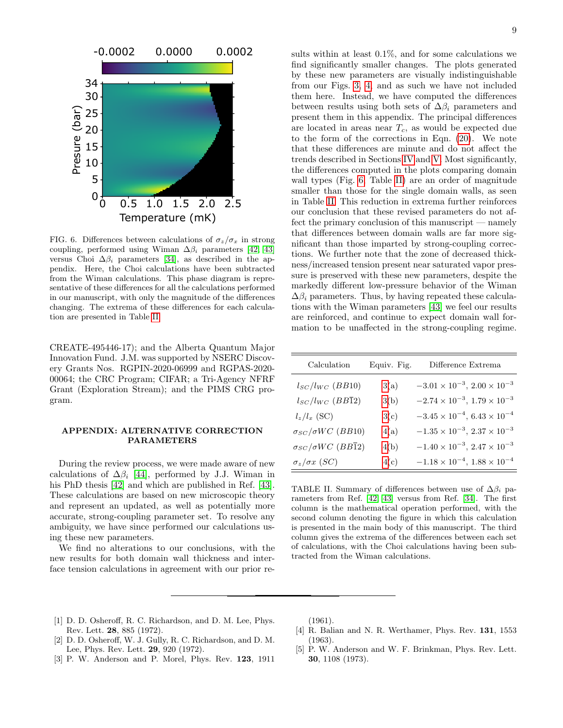

<span id="page-8-3"></span>FIG. 6. Differences between calculations of  $\sigma_z/\sigma_x$  in strong coupling, performed using Wiman  $\Delta \beta_i$  parameters [\[42,](#page-9-29) [43\]](#page-9-30) versus Choi  $\Delta\beta_i$  parameters [\[34\]](#page-9-20), as described in the appendix. Here, the Choi calculations have been subtracted from the Wiman calculations. This phase diagram is representative of these differences for all the calculations performed in our manuscript, with only the magnitude of the differences changing. The extrema of these differences for each calculation are presented in Table [II.](#page-8-2)

CREATE-495446-17); and the Alberta Quantum Major Innovation Fund. J.M. was supported by NSERC Discovery Grants Nos. RGPIN-2020-06999 and RGPAS-2020- 00064; the CRC Program; CIFAR; a Tri-Agency NFRF Grant (Exploration Stream); and the PIMS CRG program.

# APPENDIX: ALTERNATIVE CORRECTION PARAMETERS

During the review process, we were made aware of new calculations of  $\Delta \beta_i$  [\[44\]](#page-9-31), performed by J.J. Wiman in his PhD thesis [\[42\]](#page-9-29) and which are published in Ref. [\[43\]](#page-9-30). These calculations are based on new microscopic theory and represent an updated, as well as potentially more accurate, strong-coupling parameter set. To resolve any ambiguity, we have since performed our calculations using these new parameters.

We find no alterations to our conclusions, with the new results for both domain wall thickness and interface tension calculations in agreement with our prior results within at least 0.1%, and for some calculations we find significantly smaller changes. The plots generated by these new parameters are visually indistinguishable from our Figs. [3,](#page-5-0) [4,](#page-6-0) and as such we have not included them here. Instead, we have computed the differences between results using both sets of  $\Delta\beta_i$  parameters and present them in this appendix. The principal differences are located in areas near  $T_c$ , as would be expected due to the form of the corrections in Eqn. [\(20\)](#page-3-4). We note that these differences are minute and do not affect the trends described in Sections [IV](#page-5-1) and [V.](#page-5-2) Most significantly, the differences computed in the plots comparing domain wall types (Fig. [6,](#page-8-3) Table [II\)](#page-8-2) are an order of magnitude smaller than those for the single domain walls, as seen in Table [II.](#page-8-2) This reduction in extrema further reinforces our conclusion that these revised parameters do not affect the primary conclusion of this manuscript — namely that differences between domain walls are far more significant than those imparted by strong-coupling corrections. We further note that the zone of decreased thickness/increased tension present near saturated vapor pressure is preserved with these new parameters, despite the markedly different low-pressure behavior of the Wiman  $\Delta\beta_i$  parameters. Thus, by having repeated these calculations with the Wiman parameters [\[43\]](#page-9-30) we feel our results are reinforced, and continue to expect domain wall formation to be unaffected in the strong-coupling regime.

| Calculation                    | Equiv. Fig. | Difference Extrema                             |
|--------------------------------|-------------|------------------------------------------------|
| $l_{SC}/l_{WC}$ (BB10)         | 3(a)        | $-3.01 \times 10^{-3}$ , $2.00 \times 10^{-3}$ |
| $l_{SC}/l_{WC}$ (BB12)         | 3(b)        | $-2.74 \times 10^{-3}$ , $1.79 \times 10^{-3}$ |
| $l_z/l_x$ (SC)                 | 3(c)        | $-3.45 \times 10^{-4}$ , $6.43 \times 10^{-4}$ |
| $\sigma_{SC}/\sigma WC$ (BB10) | 4(a)        | $-1.35 \times 10^{-3}$ , $2.37 \times 10^{-3}$ |
| $\sigma_{SC}/\sigma WC$ (BB12) | 4(b)        | $-1.40\times10^{-3},\, 2.47\times10^{-3}$      |
| $\sigma_z/\sigma x$ (SC)       | 4(c)        | $-1.18 \times 10^{-4}$ , $1.88 \times 10^{-4}$ |

<span id="page-8-2"></span>TABLE II. Summary of differences between use of  $\Delta\beta_i$  parameters from Ref. [\[42,](#page-9-29) [43\]](#page-9-30) versus from Ref. [\[34\]](#page-9-20). The first column is the mathematical operation performed, with the second column denoting the figure in which this calculation is presented in the main body of this manuscript. The third column gives the extrema of the differences between each set of calculations, with the Choi calculations having been subtracted from the Wiman calculations.

- <span id="page-8-0"></span>[1] D. D. Osheroff, R. C. Richardson, and D. M. Lee, Phys. Rev. Lett. 28, 885 (1972).
- [2] D. D. Osheroff, W. J. Gully, R. C. Richardson, and D. M. Lee, Phys. Rev. Lett. 29, 920 (1972).
- [3] P. W. Anderson and P. Morel, Phys. Rev. 123, 1911

(1961).

- <span id="page-8-1"></span>[4] R. Balian and N. R. Werthamer, Phys. Rev. 131, 1553 (1963).
- [5] P. W. Anderson and W. F. Brinkman, Phys. Rev. Lett. 30, 1108 (1973).